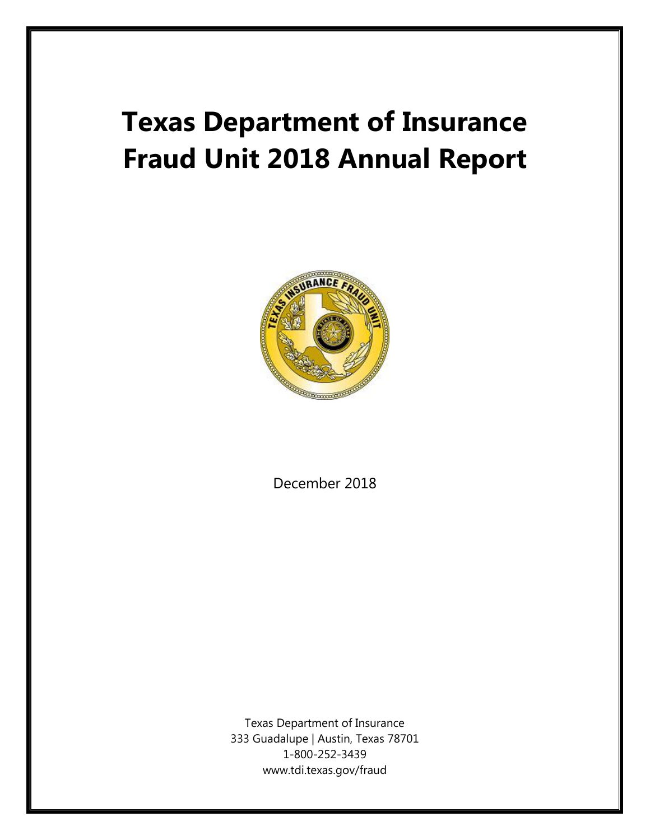# **Texas Department of Insurance Fraud Unit 2018 Annual Report**



December 2018

Texas Department of Insurance 333 Guadalupe | Austin, Texas 78701 1-800-252-3439 www.tdi.texas.gov/fraud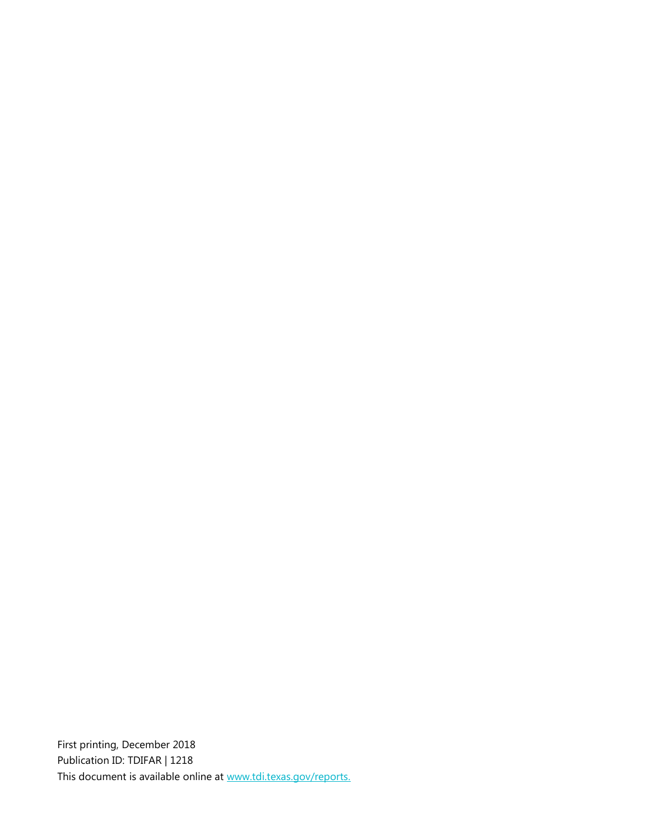First printing, December 2018 Publication ID: TDIFAR | 1218 This document is available online at www.tdi.texas.gov/reports.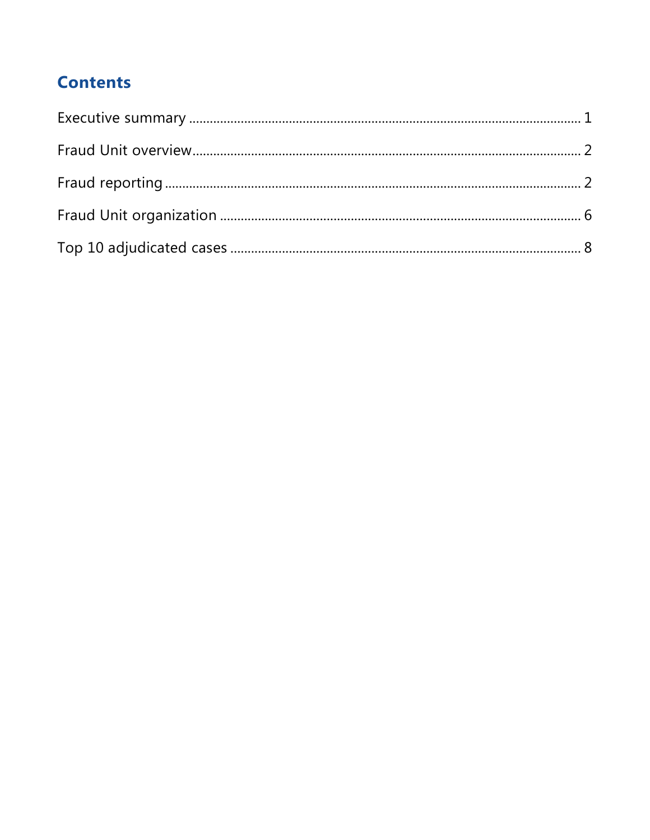# **Contents**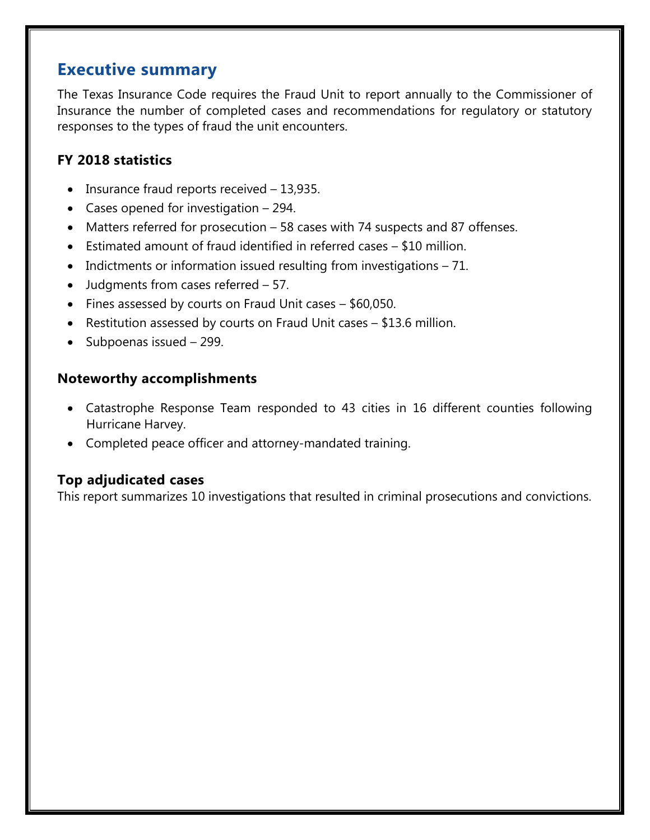### <span id="page-4-0"></span>**Executive summary**

The Texas Insurance Code requires the Fraud Unit to report annually to the Commissioner of Insurance the number of completed cases and recommendations for regulatory or statutory responses to the types of fraud the unit encounters.

#### **FY 2018 statistics**

- Insurance fraud reports received 13,935.
- Cases opened for investigation 294.
- Matters referred for prosecution 58 cases with 74 suspects and 87 offenses.
- Estimated amount of fraud identified in referred cases \$10 million.
- Indictments or information issued resulting from investigations 71.
- Judgments from cases referred 57.
- Fines assessed by courts on Fraud Unit cases \$60,050.
- Restitution assessed by courts on Fraud Unit cases \$13.6 million.
- Subpoenas issued 299.

#### **Noteworthy accomplishments**

- Catastrophe Response Team responded to 43 cities in 16 different counties following Hurricane Harvey.
- Completed peace officer and attorney-mandated training.

#### **Top adjudicated cases**

This report summarizes 10 investigations that resulted in criminal prosecutions and convictions.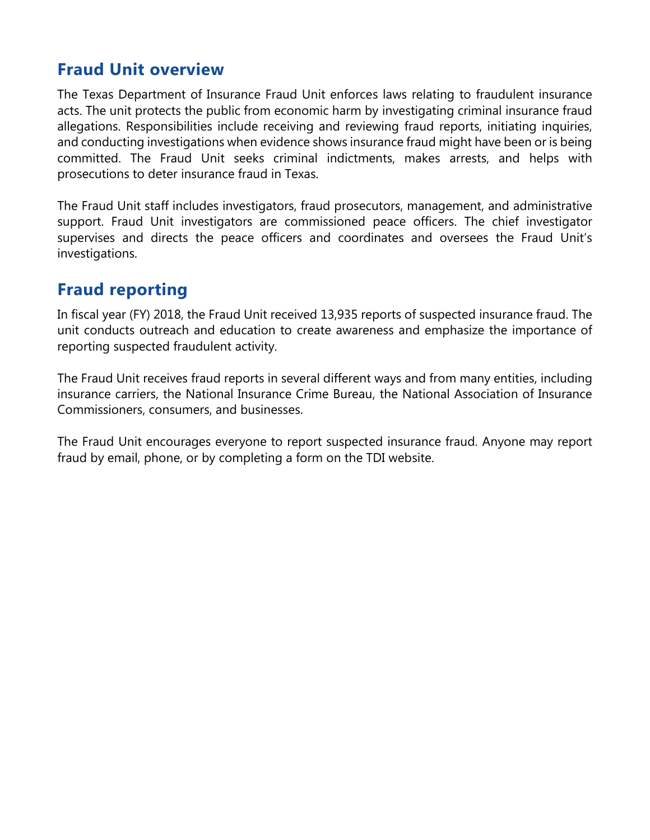## <span id="page-5-0"></span>**Fraud Unit overview**

The Texas Department of Insurance Fraud Unit enforces laws relating to fraudulent insurance acts. The unit protects the public from economic harm by investigating criminal insurance fraud allegations. Responsibilities include receiving and reviewing fraud reports, initiating inquiries, and conducting investigations when evidence shows insurance fraud might have been or is being committed. The Fraud Unit seeks criminal indictments, makes arrests, and helps with prosecutions to deter insurance fraud in Texas.

The Fraud Unit staff includes investigators, fraud prosecutors, management, and administrative support. Fraud Unit investigators are commissioned peace officers. The chief investigator supervises and directs the peace officers and coordinates and oversees the Fraud Unit's investigations.

## <span id="page-5-1"></span>**Fraud reporting**

In fiscal year (FY) 2018, the Fraud Unit received 13,935 reports of suspected insurance fraud. The unit conducts outreach and education to create awareness and emphasize the importance of reporting suspected fraudulent activity.

The Fraud Unit receives fraud reports in several different ways and from many entities, including insurance carriers, the National Insurance Crime Bureau, the National Association of Insurance Commissioners, consumers, and businesses.

The Fraud Unit encourages everyone to report suspected insurance fraud. Anyone may report fraud by email, phone, or by completing a form on the TDI website.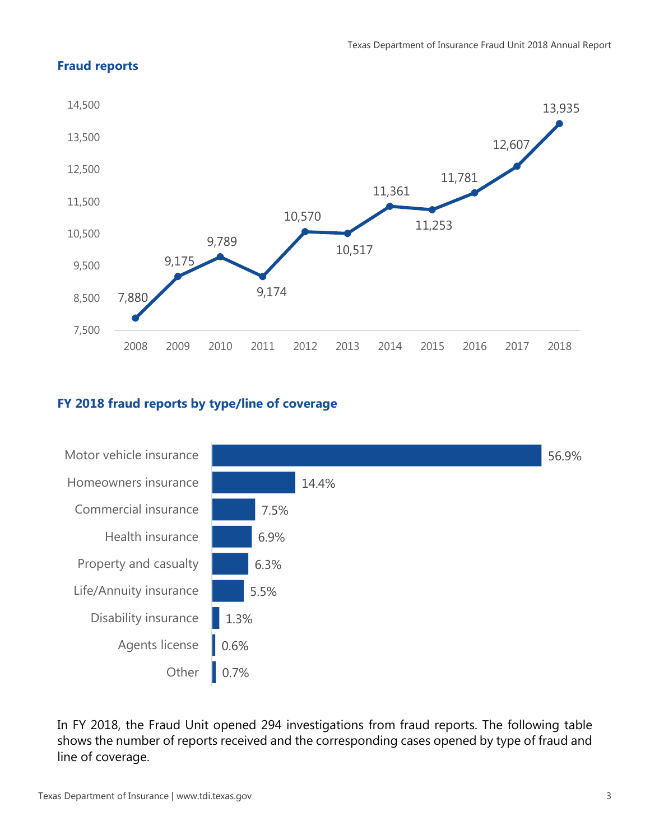#### **Fraud reports**



#### **FY 2018 fraud reports by type/line of coverage**



In FY 2018, the Fraud Unit opened 294 investigations from fraud reports. The following table shows the number of reports received and the corresponding cases opened by type of fraud and line of coverage.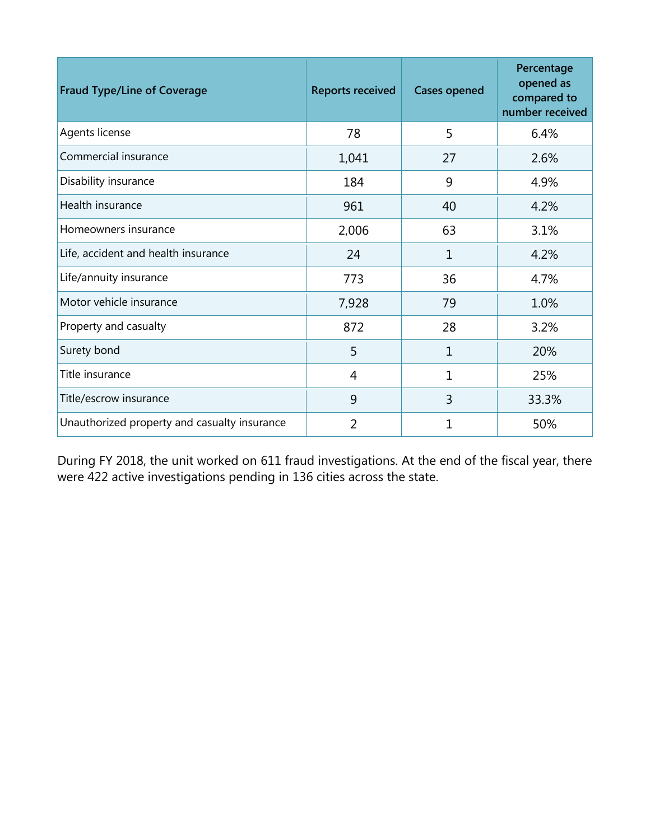| <b>Fraud Type/Line of Coverage</b>           | <b>Reports received</b> | <b>Cases opened</b> | Percentage<br>opened as<br>compared to<br>number received |
|----------------------------------------------|-------------------------|---------------------|-----------------------------------------------------------|
| Agents license                               | 78                      | 5                   | 6.4%                                                      |
| Commercial insurance                         | 1,041                   | 27                  | 2.6%                                                      |
| Disability insurance                         | 184                     | 9                   | 4.9%                                                      |
| Health insurance                             | 961                     | 40                  | 4.2%                                                      |
| Homeowners insurance                         | 2,006                   | 63                  | 3.1%                                                      |
| Life, accident and health insurance          | 24                      | 1                   | 4.2%                                                      |
| Life/annuity insurance                       | 773                     | 36                  | 4.7%                                                      |
| Motor vehicle insurance                      | 7,928                   | 79                  | 1.0%                                                      |
| Property and casualty                        | 872                     | 28                  | 3.2%                                                      |
| Surety bond                                  | 5                       | $\mathbf{1}$        | 20%                                                       |
| Title insurance                              | $\overline{4}$          | $\mathbf{1}$        | 25%                                                       |
| Title/escrow insurance                       | 9                       | 3                   | 33.3%                                                     |
| Unauthorized property and casualty insurance | $\overline{2}$          | 1                   | 50%                                                       |

During FY 2018, the unit worked on 611 fraud investigations. At the end of the fiscal year, there were 422 active investigations pending in 136 cities across the state.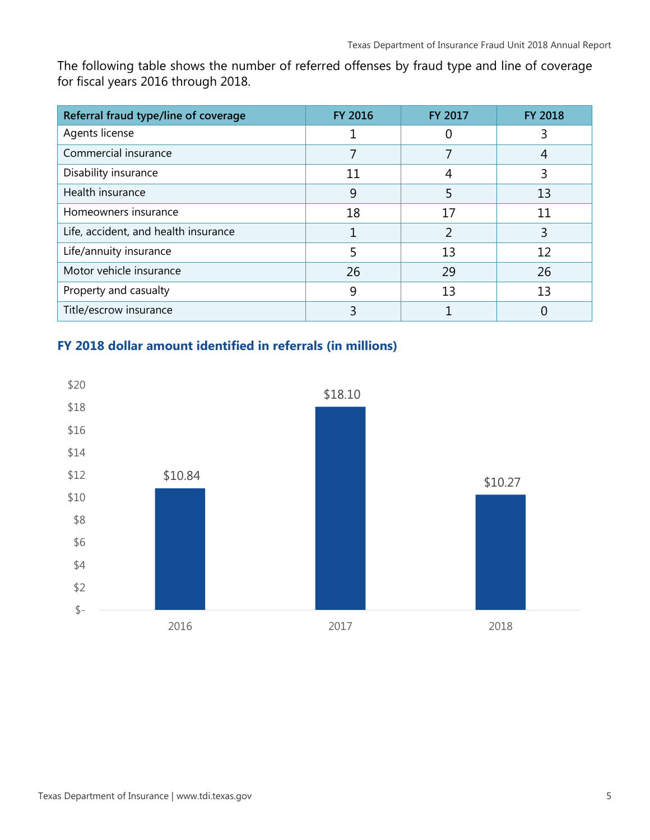The following table shows the number of referred offenses by fraud type and line of coverage for fiscal years 2016 through 2018.

| Referral fraud type/line of coverage | <b>FY 2016</b> | <b>FY 2017</b> | <b>FY 2018</b> |
|--------------------------------------|----------------|----------------|----------------|
| Agents license                       |                | 0              | 3              |
| Commercial insurance                 |                |                |                |
| Disability insurance                 | 11             | 4              | 3              |
| Health insurance                     | 9              |                | 13             |
| Homeowners insurance                 | 18             | 17             | 11             |
| Life, accident, and health insurance |                | $\overline{2}$ | 3              |
| Life/annuity insurance               |                | 13             | 12             |
| Motor vehicle insurance              | 26             | 29             | 26             |
| Property and casualty                | 9              | 13             | 13             |
| Title/escrow insurance               |                |                |                |

#### **FY 2018 dollar amount identified in referrals (in millions)**

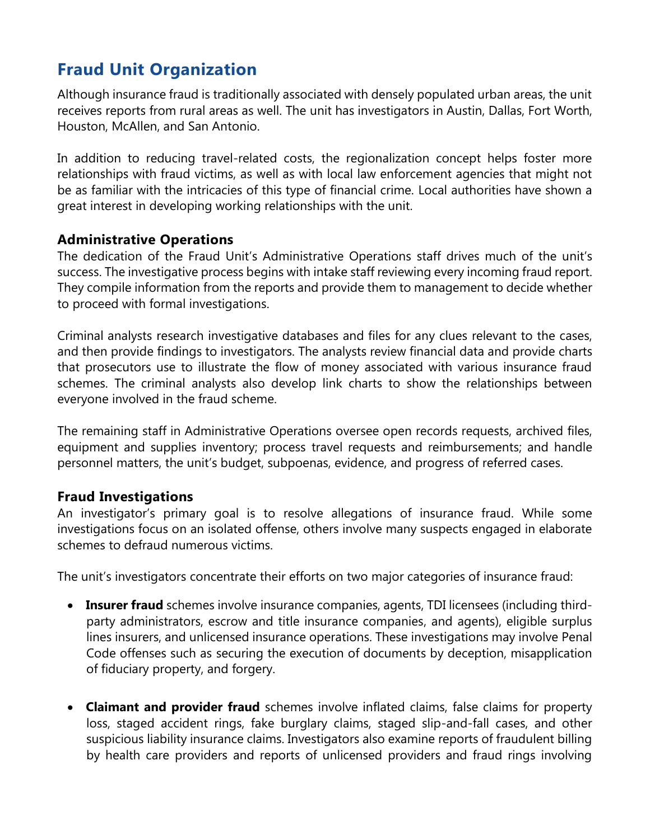# <span id="page-9-0"></span>**Fraud Unit Organization**

Although insurance fraud is traditionally associated with densely populated urban areas, the unit receives reports from rural areas as well. The unit has investigators in Austin, Dallas, Fort Worth, Houston, McAllen, and San Antonio.

In addition to reducing travel-related costs, the regionalization concept helps foster more relationships with fraud victims, as well as with local law enforcement agencies that might not be as familiar with the intricacies of this type of financial crime. Local authorities have shown a great interest in developing working relationships with the unit.

#### **Administrative Operations**

The dedication of the Fraud Unit's Administrative Operations staff drives much of the unit's success. The investigative process begins with intake staff reviewing every incoming fraud report. They compile information from the reports and provide them to management to decide whether to proceed with formal investigations.

Criminal analysts research investigative databases and files for any clues relevant to the cases, and then provide findings to investigators. The analysts review financial data and provide charts that prosecutors use to illustrate the flow of money associated with various insurance fraud schemes. The criminal analysts also develop link charts to show the relationships between everyone involved in the fraud scheme.

The remaining staff in Administrative Operations oversee open records requests, archived files, equipment and supplies inventory; process travel requests and reimbursements; and handle personnel matters, the unit's budget, subpoenas, evidence, and progress of referred cases.

#### **Fraud Investigations**

An investigator's primary goal is to resolve allegations of insurance fraud. While some investigations focus on an isolated offense, others involve many suspects engaged in elaborate schemes to defraud numerous victims.

The unit's investigators concentrate their efforts on two major categories of insurance fraud:

- **Insurer fraud** schemes involve insurance companies, agents, TDI licensees (including thirdparty administrators, escrow and title insurance companies, and agents), eligible surplus lines insurers, and unlicensed insurance operations. These investigations may involve Penal Code offenses such as securing the execution of documents by deception, misapplication of fiduciary property, and forgery.
- **Claimant and provider fraud** schemes involve inflated claims, false claims for property loss, staged accident rings, fake burglary claims, staged slip-and-fall cases, and other suspicious liability insurance claims. Investigators also examine reports of fraudulent billing by health care providers and reports of unlicensed providers and fraud rings involving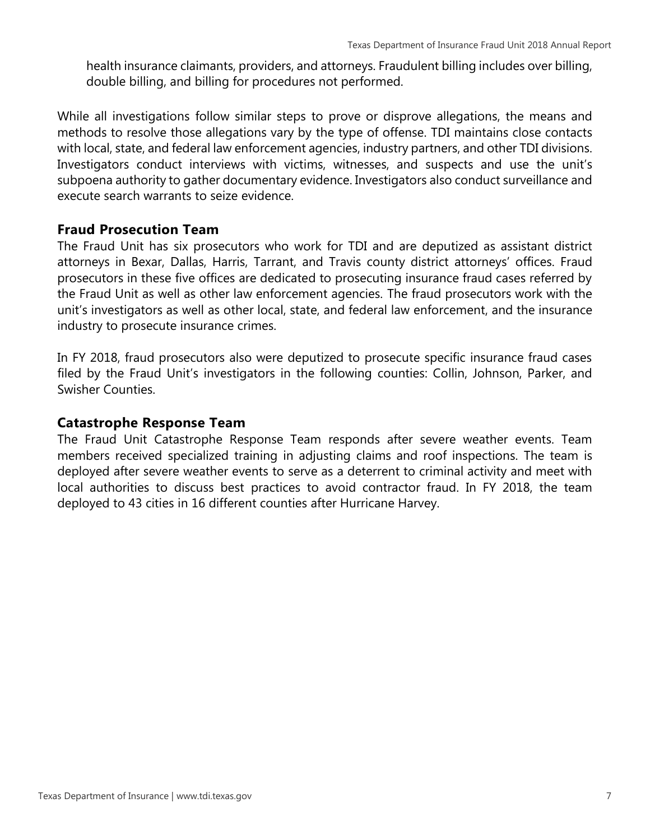health insurance claimants, providers, and attorneys. Fraudulent billing includes over billing, double billing, and billing for procedures not performed.

While all investigations follow similar steps to prove or disprove allegations, the means and methods to resolve those allegations vary by the type of offense. TDI maintains close contacts with local, state, and federal law enforcement agencies, industry partners, and other TDI divisions. Investigators conduct interviews with victims, witnesses, and suspects and use the unit's subpoena authority to gather documentary evidence. Investigators also conduct surveillance and execute search warrants to seize evidence.

#### **Fraud Prosecution Team**

The Fraud Unit has six prosecutors who work for TDI and are deputized as assistant district attorneys in Bexar, Dallas, Harris, Tarrant, and Travis county district attorneys' offices. Fraud prosecutors in these five offices are dedicated to prosecuting insurance fraud cases referred by the Fraud Unit as well as other law enforcement agencies. The fraud prosecutors work with the unit's investigators as well as other local, state, and federal law enforcement, and the insurance industry to prosecute insurance crimes.

In FY 2018, fraud prosecutors also were deputized to prosecute specific insurance fraud cases filed by the Fraud Unit's investigators in the following counties: Collin, Johnson, Parker, and Swisher Counties.

#### **Catastrophe Response Team**

The Fraud Unit Catastrophe Response Team responds after severe weather events. Team members received specialized training in adjusting claims and roof inspections. The team is deployed after severe weather events to serve as a deterrent to criminal activity and meet with local authorities to discuss best practices to avoid contractor fraud. In FY 2018, the team deployed to 43 cities in 16 different counties after Hurricane Harvey.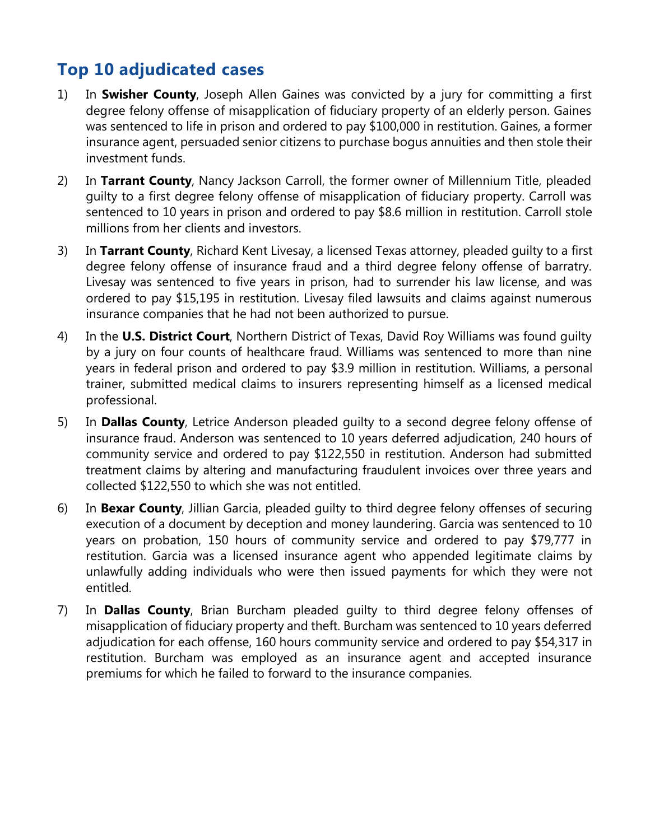# <span id="page-11-0"></span>**Top 10 adjudicated cases**

- 1) In **Swisher County**, Joseph Allen Gaines was convicted by a jury for committing a first degree felony offense of misapplication of fiduciary property of an elderly person. Gaines was sentenced to life in prison and ordered to pay \$100,000 in restitution. Gaines, a former insurance agent, persuaded senior citizens to purchase bogus annuities and then stole their investment funds.
- 2) In **Tarrant County**, Nancy Jackson Carroll, the former owner of Millennium Title, pleaded guilty to a first degree felony offense of misapplication of fiduciary property. Carroll was sentenced to 10 years in prison and ordered to pay \$8.6 million in restitution. Carroll stole millions from her clients and investors.
- 3) In **Tarrant County**, Richard Kent Livesay, a licensed Texas attorney, pleaded guilty to a first degree felony offense of insurance fraud and a third degree felony offense of barratry. Livesay was sentenced to five years in prison, had to surrender his law license, and was ordered to pay \$15,195 in restitution. Livesay filed lawsuits and claims against numerous insurance companies that he had not been authorized to pursue.
- 4) In the **U.S. District Court**, Northern District of Texas, David Roy Williams was found guilty by a jury on four counts of healthcare fraud. Williams was sentenced to more than nine years in federal prison and ordered to pay \$3.9 million in restitution. Williams, a personal trainer, submitted medical claims to insurers representing himself as a licensed medical professional.
- 5) In **Dallas County**, Letrice Anderson pleaded guilty to a second degree felony offense of insurance fraud. Anderson was sentenced to 10 years deferred adjudication, 240 hours of community service and ordered to pay \$122,550 in restitution. Anderson had submitted treatment claims by altering and manufacturing fraudulent invoices over three years and collected \$122,550 to which she was not entitled.
- 6) In **Bexar County**, Jillian Garcia, pleaded guilty to third degree felony offenses of securing execution of a document by deception and money laundering. Garcia was sentenced to 10 years on probation, 150 hours of community service and ordered to pay \$79,777 in restitution. Garcia was a licensed insurance agent who appended legitimate claims by unlawfully adding individuals who were then issued payments for which they were not entitled.
- 7) In **Dallas County**, Brian Burcham pleaded guilty to third degree felony offenses of misapplication of fiduciary property and theft. Burcham was sentenced to 10 years deferred adjudication for each offense, 160 hours community service and ordered to pay \$54,317 in restitution. Burcham was employed as an insurance agent and accepted insurance premiums for which he failed to forward to the insurance companies.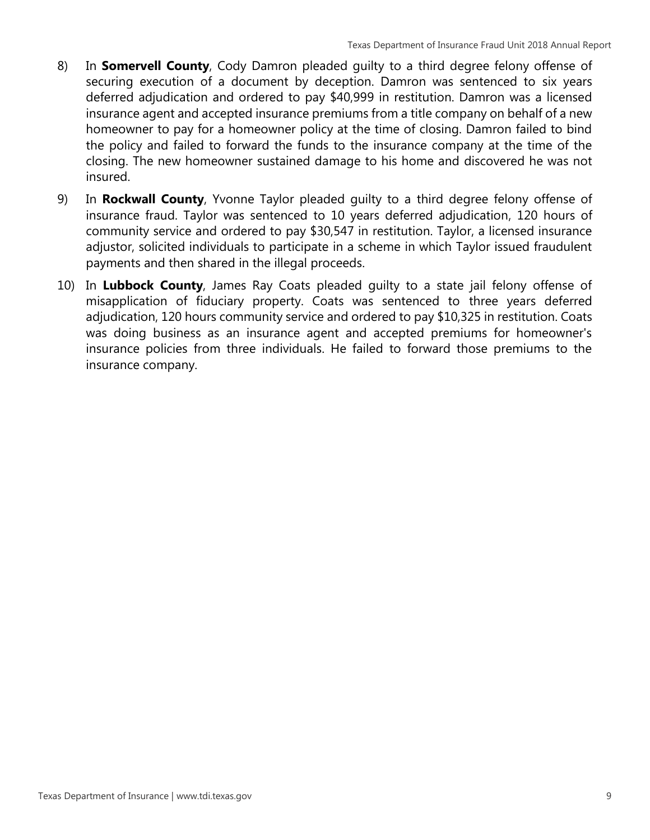- 8) In **Somervell County**, Cody Damron pleaded guilty to a third degree felony offense of securing execution of a document by deception. Damron was sentenced to six years deferred adjudication and ordered to pay \$40,999 in restitution. Damron was a licensed insurance agent and accepted insurance premiums from a title company on behalf of a new homeowner to pay for a homeowner policy at the time of closing. Damron failed to bind the policy and failed to forward the funds to the insurance company at the time of the closing. The new homeowner sustained damage to his home and discovered he was not insured.
- 9) In **Rockwall County**, Yvonne Taylor pleaded guilty to a third degree felony offense of insurance fraud. Taylor was sentenced to 10 years deferred adjudication, 120 hours of community service and ordered to pay \$30,547 in restitution. Taylor, a licensed insurance adjustor, solicited individuals to participate in a scheme in which Taylor issued fraudulent payments and then shared in the illegal proceeds.
- 10) In **Lubbock County**, James Ray Coats pleaded guilty to a state jail felony offense of misapplication of fiduciary property. Coats was sentenced to three years deferred adjudication, 120 hours community service and ordered to pay \$10,325 in restitution. Coats was doing business as an insurance agent and accepted premiums for homeowner's insurance policies from three individuals. He failed to forward those premiums to the insurance company.